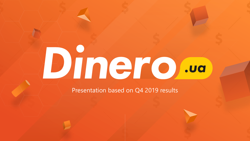# Dinero .ua

Presentation based on Q4 2019 results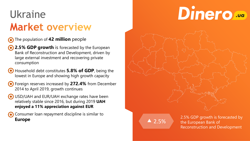## **Ukraine Market overview**

#### **The population of 42 million people**

**2.5% GDP growth** is forecasted by the European Bank of Reconstruction and Development, driven by large external investment and recovering private consumption

Household debt constitutes **5.8% of GDP**, being the lowest in Europe and showing high growth capacity

Foreign reserves increased by **272.4%** from December 2014 to April 2019, growth continues

- USD/UAH and EUR/UAH exchange rates have been relatively stable since 2016, but during 2019 **UAH enjoyed a 11% appreciation against EUR**
	- Consumer loan repayment discipline is similar to **Europe**

# Dinero ...

 $\triangle$  2.5%

2.5% GDP growth is forecasted by the European Bank of Reconstruction and Development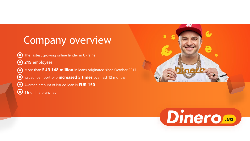#### Company overview

The fastest growing online lender in Ukraine  $(\bullet)$ 

**219** employees

More than **EUR 148 million** in loans originated since October 2017 Issued loan portfolio **increased 5 times** over last 12 months  $(\bullet)$ Average amount of issued loan is **EUR 150 16** offline branches  $\odot$ 



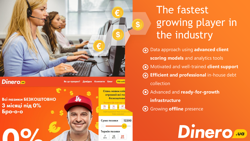

#### **Dinero**

Всі позики БЕЗКОШТОВНО З місяці під 0% **Бро-о-о** 

Стань новим кліє отримай всі по безкоштовн  $\frac{12}{\sqrt{2}}$ 

Як це працює? Довідка Контакти Блог

Мій кабі

Сума позики 12200 Термін позики

## The fastest growing player in the industry

Data approach using **advanced client scoring models** and analytics tools Motivated and well-trained **client support Efficient and professional** in-house debt collection

Dinero...

Advanced and **ready-for-growth** 

**infrastructure**

Growing **offline** presence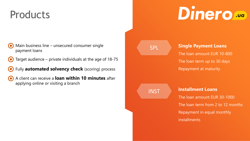#### **Products**

## Dinero ...

- Main business line unsecured consumer single payment loans
- Target audience private individuals at the age of 18-75
- Fully **automated solvency check** (scoring) process
- A client can receive a **loan within 10 minutes** after applying online or visiting a branch

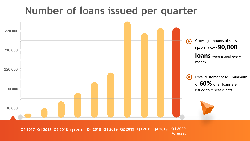#### **Number of loans issued per quarter**



**Q4 2017 Q1 2018 Q2 2018 Q3 2018 Q4 2018 Q1 2019 Q1 2020 Q2 2019 Q3 2019 Q4 2019 Forecast**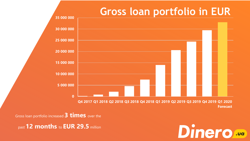#### **Gross loan portfolio in EUR**



Gross loan portfolio increased **3 times** over the

past **12 months** to **EUR 29.5** million

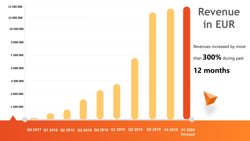

**Q4 2017 Q1 2018 Q2 2018 Q3 2018 Q4 2018 Q1 2019 01 2020 Q2 2019 Q3 2019 Forecast 04 2019**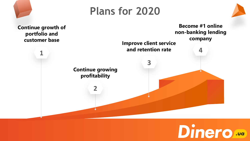#### **Plans for 2020**